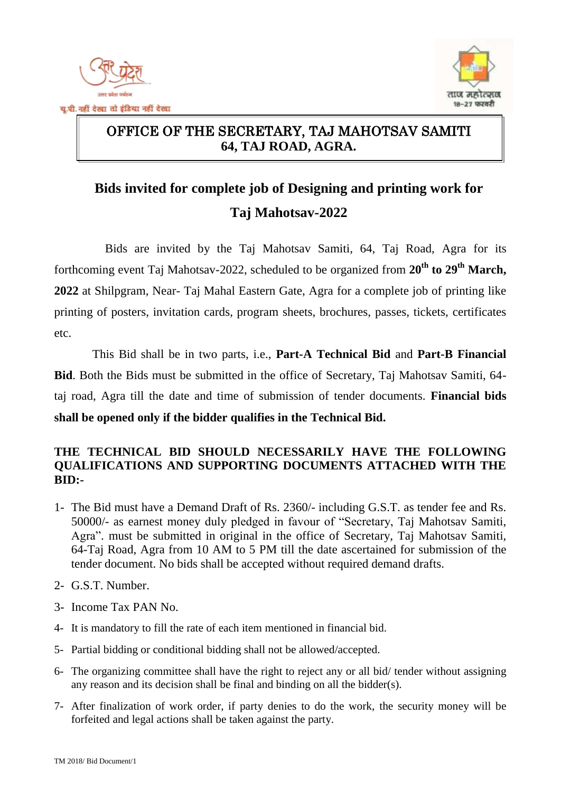



#### $\overline{a}$ OFFICE OF THE SECRETARY, TAJ MAHOTSAV SAMITI **64, TAJ ROAD, AGRA.**

# **Bids invited for complete job of Designing and printing work for Taj Mahotsav-2022**

Bids are invited by the Taj Mahotsav Samiti, 64, Taj Road, Agra for its forthcoming event Taj Mahotsav-2022, scheduled to be organized from  $20^{th}$  to  $29^{th}$  March, **2022** at Shilpgram, Near- Taj Mahal Eastern Gate, Agra for a complete job of printing like printing of posters, invitation cards, program sheets, brochures, passes, tickets, certificates etc.

This Bid shall be in two parts, i.e., **Part-A Technical Bid** and **Part-B Financial Bid**. Both the Bids must be submitted in the office of Secretary, Taj Mahotsav Samiti, 64 taj road, Agra till the date and time of submission of tender documents. **Financial bids shall be opened only if the bidder qualifies in the Technical Bid.**

#### **THE TECHNICAL BID SHOULD NECESSARILY HAVE THE FOLLOWING QUALIFICATIONS AND SUPPORTING DOCUMENTS ATTACHED WITH THE BID:-**

- 1- The Bid must have a Demand Draft of Rs. 2360/- including G.S.T. as tender fee and Rs. 50000/- as earnest money duly pledged in favour of "Secretary, Taj Mahotsav Samiti, Agra". must be submitted in original in the office of Secretary, Taj Mahotsav Samiti, 64-Taj Road, Agra from 10 AM to 5 PM till the date ascertained for submission of the tender document. No bids shall be accepted without required demand drafts.
- 2- G.S.T. Number.
- 3- Income Tax PAN No.
- 4- It is mandatory to fill the rate of each item mentioned in financial bid.
- 5- Partial bidding or conditional bidding shall not be allowed/accepted.
- 6- The organizing committee shall have the right to reject any or all bid/ tender without assigning any reason and its decision shall be final and binding on all the bidder(s).
- 7- After finalization of work order, if party denies to do the work, the security money will be forfeited and legal actions shall be taken against the party.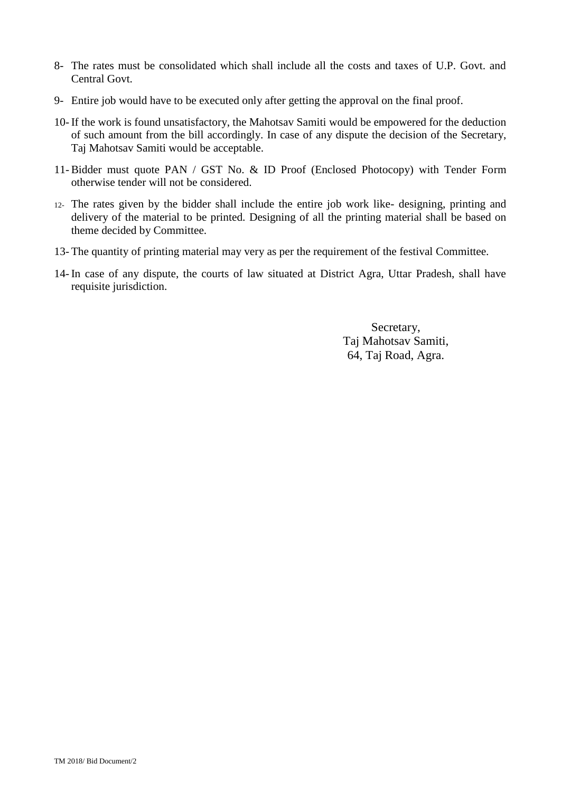- 8- The rates must be consolidated which shall include all the costs and taxes of U.P. Govt. and Central Govt.
- 9- Entire job would have to be executed only after getting the approval on the final proof.
- 10- If the work is found unsatisfactory, the Mahotsav Samiti would be empowered for the deduction of such amount from the bill accordingly. In case of any dispute the decision of the Secretary, Taj Mahotsav Samiti would be acceptable.
- 11- Bidder must quote PAN / GST No. & ID Proof (Enclosed Photocopy) with Tender Form otherwise tender will not be considered.
- 12- The rates given by the bidder shall include the entire job work like- designing, printing and delivery of the material to be printed. Designing of all the printing material shall be based on theme decided by Committee.
- 13- The quantity of printing material may very as per the requirement of the festival Committee.
- 14- In case of any dispute, the courts of law situated at District Agra, Uttar Pradesh, shall have requisite jurisdiction.

Secretary, Taj Mahotsav Samiti, 64, Taj Road, Agra.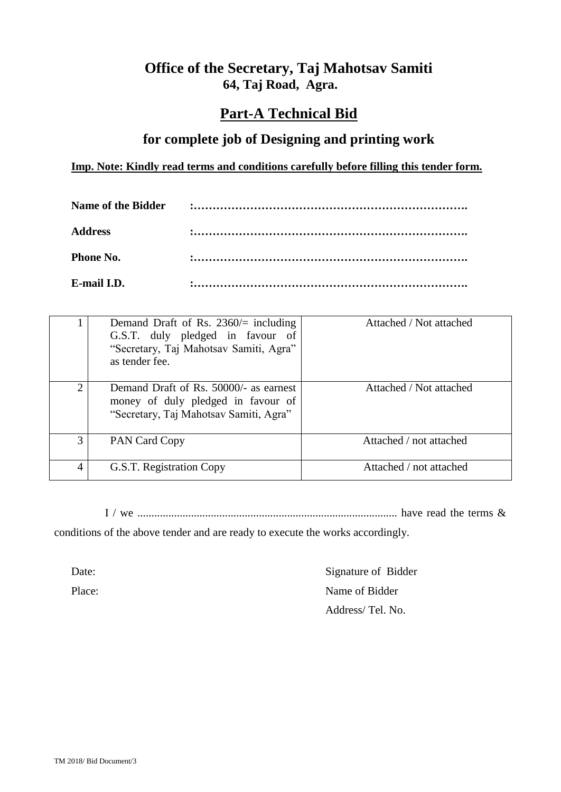### **Office of the Secretary, Taj Mahotsav Samiti 64, Taj Road, Agra.**

### **Part-A Technical Bid**

#### **for complete job of Designing and printing work**

#### **Imp. Note: Kindly read terms and conditions carefully before filling this tender form.**

| <b>Address</b>   |  |
|------------------|--|
| <b>Phone No.</b> |  |
| E-mail I.D.      |  |

|   | Demand Draft of Rs. 2360/ $=$ including<br>G.S.T. duly pledged in favour of<br>"Secretary, Taj Mahotsav Samiti, Agra"<br>as tender fee. | Attached / Not attached |
|---|-----------------------------------------------------------------------------------------------------------------------------------------|-------------------------|
| ↑ | Demand Draft of Rs. 50000/- as earnest<br>money of duly pledged in favour of<br>"Secretary, Taj Mahotsav Samiti, Agra"                  | Attached / Not attached |
| 3 | PAN Card Copy                                                                                                                           | Attached / not attached |
| 4 | G.S.T. Registration Copy                                                                                                                | Attached / not attached |

I / we ............................................................................................ have read the terms &

conditions of the above tender and are ready to execute the works accordingly.

Date: Signature of Bidder Place: Name of Bidder Address/ Tel. No.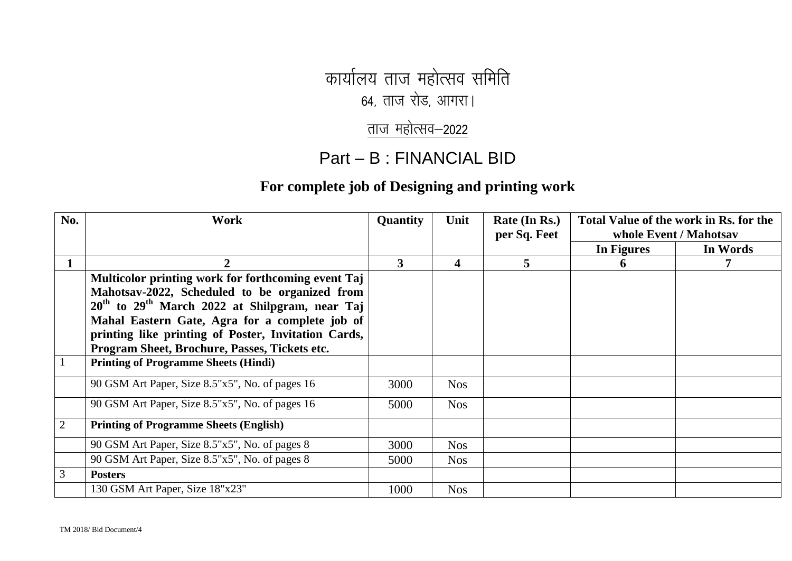कार्यालय ताज महोत्सव समिति

 $64$ , ताज रोड, आगरा।

# ताज $r$  महोत्सव $-2022$

## Part – B : FINANCIAL BID

### **For complete job of Designing and printing work**

| No.            | Work                                                | <b>Quantity</b> | Unit                    | Rate (In Rs.)<br>per Sq. Feet | Total Value of the work in Rs. for the<br>whole Event / Mahotsav |          |
|----------------|-----------------------------------------------------|-----------------|-------------------------|-------------------------------|------------------------------------------------------------------|----------|
|                |                                                     |                 |                         |                               | In Figures                                                       | In Words |
|                | $\mathbf{2}$                                        | 3               | $\overline{\mathbf{4}}$ | 5                             | $\mathbf 0$                                                      |          |
|                | Multicolor printing work for forthcoming event Taj  |                 |                         |                               |                                                                  |          |
|                | Mahotsav-2022, Scheduled to be organized from       |                 |                         |                               |                                                                  |          |
|                | $20th$ to $29th$ March 2022 at Shilpgram, near Taj  |                 |                         |                               |                                                                  |          |
|                | Mahal Eastern Gate, Agra for a complete job of      |                 |                         |                               |                                                                  |          |
|                | printing like printing of Poster, Invitation Cards, |                 |                         |                               |                                                                  |          |
|                | Program Sheet, Brochure, Passes, Tickets etc.       |                 |                         |                               |                                                                  |          |
|                | <b>Printing of Programme Sheets (Hindi)</b>         |                 |                         |                               |                                                                  |          |
|                | 90 GSM Art Paper, Size 8.5"x5", No. of pages 16     | 3000            | <b>Nos</b>              |                               |                                                                  |          |
|                | 90 GSM Art Paper, Size 8.5"x5", No. of pages 16     | 5000            | <b>Nos</b>              |                               |                                                                  |          |
| $\overline{2}$ | <b>Printing of Programme Sheets (English)</b>       |                 |                         |                               |                                                                  |          |
|                | 90 GSM Art Paper, Size 8.5"x5", No. of pages 8      | 3000            | <b>Nos</b>              |                               |                                                                  |          |
|                | 90 GSM Art Paper, Size 8.5"x5", No. of pages 8      | 5000            | <b>Nos</b>              |                               |                                                                  |          |
| 3              | <b>Posters</b>                                      |                 |                         |                               |                                                                  |          |
|                | 130 GSM Art Paper, Size 18"x23"                     | 1000            | <b>Nos</b>              |                               |                                                                  |          |